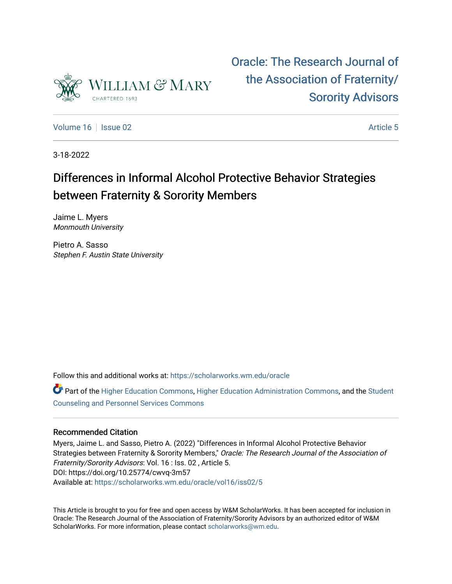

[Oracle: The Research Journal of](https://scholarworks.wm.edu/oracle)  [the Association of Fraternity/](https://scholarworks.wm.edu/oracle) [Sorority Advisors](https://scholarworks.wm.edu/oracle) 

[Volume 16](https://scholarworks.wm.edu/oracle/vol16) September 2020 and the separate control of the separate control of the separate control of the separate control of the separate control of the separate control of the separate control of the separate control of t

3-18-2022

# Differences in Informal Alcohol Protective Behavior Strategies between Fraternity & Sorority Members

Jaime L. Myers Monmouth University

Pietro A. Sasso Stephen F. Austin State University

Follow this and additional works at: [https://scholarworks.wm.edu/oracle](https://scholarworks.wm.edu/oracle?utm_source=scholarworks.wm.edu%2Foracle%2Fvol16%2Fiss02%2F5&utm_medium=PDF&utm_campaign=PDFCoverPages)

**C** Part of the [Higher Education Commons,](http://network.bepress.com/hgg/discipline/1245?utm_source=scholarworks.wm.edu%2Foracle%2Fvol16%2Fiss02%2F5&utm_medium=PDF&utm_campaign=PDFCoverPages) [Higher Education Administration Commons,](http://network.bepress.com/hgg/discipline/791?utm_source=scholarworks.wm.edu%2Foracle%2Fvol16%2Fiss02%2F5&utm_medium=PDF&utm_campaign=PDFCoverPages) and the [Student](http://network.bepress.com/hgg/discipline/802?utm_source=scholarworks.wm.edu%2Foracle%2Fvol16%2Fiss02%2F5&utm_medium=PDF&utm_campaign=PDFCoverPages) [Counseling and Personnel Services Commons](http://network.bepress.com/hgg/discipline/802?utm_source=scholarworks.wm.edu%2Foracle%2Fvol16%2Fiss02%2F5&utm_medium=PDF&utm_campaign=PDFCoverPages) 

# Recommended Citation

Myers, Jaime L. and Sasso, Pietro A. (2022) "Differences in Informal Alcohol Protective Behavior Strategies between Fraternity & Sorority Members," Oracle: The Research Journal of the Association of Fraternity/Sorority Advisors: Vol. 16 : Iss. 02 , Article 5. DOI: https://doi.org/10.25774/cwvq-3m57 Available at: [https://scholarworks.wm.edu/oracle/vol16/iss02/5](https://scholarworks.wm.edu/oracle/vol16/iss02/5?utm_source=scholarworks.wm.edu%2Foracle%2Fvol16%2Fiss02%2F5&utm_medium=PDF&utm_campaign=PDFCoverPages) 

This Article is brought to you for free and open access by W&M ScholarWorks. It has been accepted for inclusion in Oracle: The Research Journal of the Association of Fraternity/Sorority Advisors by an authorized editor of W&M ScholarWorks. For more information, please contact [scholarworks@wm.edu.](mailto:scholarworks@wm.edu)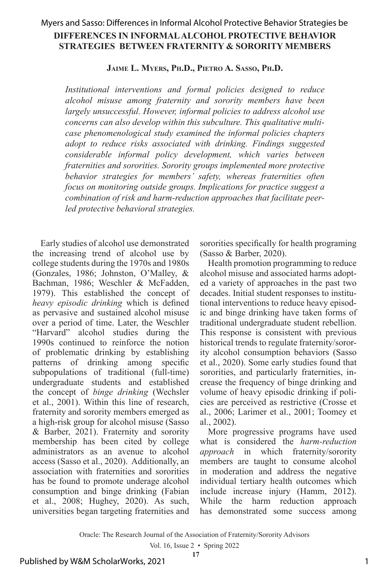# **DIFFERENCES IN INFORMAL ALCOHOL PROTECTIVE BEHAVIOR STRATEGIES BETWEEN FRATERNITY & SORORITY MEMBERS** Myers and Sasso: Differences in Informal Alcohol Protective Behavior Strategies be

**Jaime L. Myers, Ph.D., Pietro A. Sasso, Ph.D.**

*Institutional interventions and formal policies designed to reduce alcohol misuse among fraternity and sorority members have been largely unsuccessful. However, informal policies to address alcohol use concerns can also develop within this subculture. This qualitative multicase phenomenological study examined the informal policies chapters adopt to reduce risks associated with drinking. Findings suggested considerable informal policy development, which varies between fraternities and sororities. Sorority groups implemented more protective behavior strategies for members' safety, whereas fraternities often focus on monitoring outside groups. Implications for practice suggest a combination of risk and harm-reduction approaches that facilitate peerled protective behavioral strategies.* 

Early studies of alcohol use demonstrated the increasing trend of alcohol use by college students during the 1970s and 1980s (Gonzales, 1986; Johnston, O'Malley, & Bachman, 1986; Weschler & McFadden, 1979). This established the concept of *heavy episodic drinking* which is defined as pervasive and sustained alcohol misuse over a period of time. Later, the Weschler "Harvard" alcohol studies during the 1990s continued to reinforce the notion of problematic drinking by establishing patterns of drinking among specific subpopulations of traditional (full-time) undergraduate students and established the concept of *binge drinking* (Wechsler et al., 2001). Within this line of research, fraternity and sorority members emerged as a high-risk group for alcohol misuse (Sasso & Barber, 2021). Fraternity and sorority membership has been cited by college administrators as an avenue to alcohol access (Sasso et al., 2020). Additionally, an association with fraternities and sororities has be found to promote underage alcohol consumption and binge drinking (Fabian et al., 2008; Hughey, 2020). As such, universities began targeting fraternities and

sororities specifically for health programing (Sasso & Barber, 2020).

Health promotion programming to reduce alcohol misuse and associated harms adopted a variety of approaches in the past two decades. Initial student responses to institutional interventions to reduce heavy episodic and binge drinking have taken forms of traditional undergraduate student rebellion. This response is consistent with previous historical trends to regulate fraternity/sorority alcohol consumption behaviors (Sasso et al., 2020). Some early studies found that sororities, and particularly fraternities, increase the frequency of binge drinking and volume of heavy episodic drinking if policies are perceived as restrictive (Crosse et al., 2006; Larimer et al., 2001; Toomey et al., 2002).

More progressive programs have used what is considered the *harm-reduction approach* in which fraternity/sorority members are taught to consume alcohol in moderation and address the negative individual tertiary health outcomes which include increase injury (Hamm, 2012). While the harm reduction approach has demonstrated some success among

Oracle: The Research Journal of the Association of Fraternity/Sorority Advisors

Vol. 16, Issue 2 • Spring 2022 **17**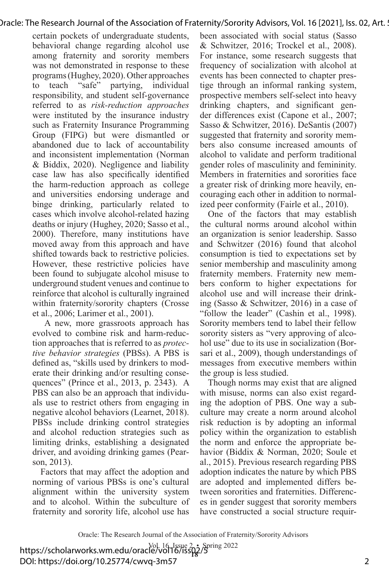certain pockets of undergraduate students, behavioral change regarding alcohol use among fraternity and sorority members was not demonstrated in response to these programs (Hughey, 2020). Other approaches to teach "safe" partying, individual responsibility, and student self-governance referred to as *risk-reduction approaches* were instituted by the insurance industry such as Fraternity Insurance Programming Group (FIPG) but were dismantled or abandoned due to lack of accountability and inconsistent implementation (Norman & Biddix, 2020). Negligence and liability case law has also specifically identified the harm-reduction approach as college and universities endorsing underage and binge drinking, particularly related to cases which involve alcohol-related hazing deaths or injury (Hughey, 2020; Sasso et al., 2000). Therefore, many institutions have moved away from this approach and have shifted towards back to restrictive policies. However, these restrictive policies have been found to subjugate alcohol misuse to underground student venues and continue to reinforce that alcohol is culturally ingrained within fraternity/sorority chapters (Crosse et al., 2006; Larimer et al., 2001).

 A new, more grassroots approach has evolved to combine risk and harm-reduction approaches that is referred to as *protective behavior strategies* (PBSs). A PBS is defined as, "skills used by drinkers to moderate their drinking and/or resulting consequences" (Prince et al., 2013, p. 2343). A PBS can also be an approach that individuals use to restrict others from engaging in negative alcohol behaviors (Learnet, 2018). PBSs include drinking control strategies and alcohol reduction strategies such as limiting drinks, establishing a designated driver, and avoiding drinking games (Pearson, 2013).

Factors that may affect the adoption and norming of various PBSs is one's cultural alignment within the university system and to alcohol. Within the subculture of fraternity and sorority life, alcohol use has

been associated with social status (Sasso & Schwitzer, 2016; Trockel et al., 2008). For instance, some research suggests that frequency of socialization with alcohol at events has been connected to chapter prestige through an informal ranking system, prospective members self-select into heavy drinking chapters, and significant gender differences exist (Capone et al., 2007; Sasso & Schwitzer, 2016). DeSantis (2007) suggested that fraternity and sorority members also consume increased amounts of alcohol to validate and perform traditional gender roles of masculinity and femininity. Members in fraternities and sororities face a greater risk of drinking more heavily, encouraging each other in addition to normalized peer conformity (Fairle et al., 2010).

One of the factors that may establish the cultural norms around alcohol within an organization is senior leadership. Sasso and Schwitzer (2016) found that alcohol consumption is tied to expectations set by senior membership and masculinity among fraternity members. Fraternity new members conform to higher expectations for alcohol use and will increase their drinking (Sasso & Schwitzer, 2016) in a case of "follow the leader" (Cashin et al., 1998). Sorority members tend to label their fellow sorority sisters as "very approving of alcohol use" due to its use in socialization (Borsari et al., 2009), though understandings of messages from executive members within the group is less studied.

Though norms may exist that are aligned with misuse, norms can also exist regarding the adoption of PBS. One way a subculture may create a norm around alcohol risk reduction is by adopting an informal policy within the organization to establish the norm and enforce the appropriate behavior (Biddix & Norman, 2020; Soule et al., 2015). Previous research regarding PBS adoption indicates the nature by which PBS are adopted and implemented differs between sororities and fraternities. Differences in gender suggest that sorority members have constructed a social structure requir-

Oracle: The Research Journal of the Association of Fraternity/Sorority Advisors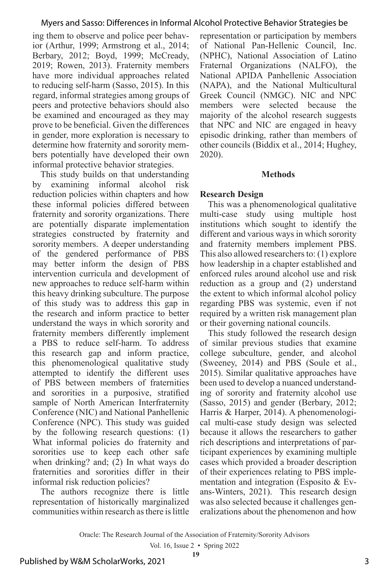ing them to observe and police peer behavior (Arthur, 1999; Armstrong et al., 2014; Berbary, 2012; Boyd, 1999; McCready, 2019; Rowen, 2013). Fraternity members have more individual approaches related to reducing self-harm (Sasso, 2015). In this regard, informal strategies among groups of peers and protective behaviors should also be examined and encouraged as they may prove to be beneficial. Given the differences in gender, more exploration is necessary to determine how fraternity and sorority members potentially have developed their own informal protective behavior strategies.

This study builds on that understanding by examining informal alcohol risk reduction policies within chapters and how these informal policies differed between fraternity and sorority organizations. There are potentially disparate implementation strategies constructed by fraternity and sorority members. A deeper understanding of the gendered performance of PBS may better inform the design of PBS intervention curricula and development of new approaches to reduce self-harm within this heavy drinking subculture. The purpose of this study was to address this gap in the research and inform practice to better understand the ways in which sorority and fraternity members differently implement a PBS to reduce self-harm. To address this research gap and inform practice, this phenomenological qualitative study attempted to identify the different uses of PBS between members of fraternities and sororities in a purposive, stratified sample of North American Interfraternity Conference (NIC) and National Panhellenic Conference (NPC). This study was guided by the following research questions: (1) What informal policies do fraternity and sororities use to keep each other safe when drinking? and; (2) In what ways do fraternities and sororities differ in their informal risk reduction policies?

The authors recognize there is little representation of historically marginalized communities within research as there is little representation or participation by members of National Pan-Hellenic Council, Inc. (NPHC), National Association of Latino Fraternal Organizations (NALFO), the National APIDA Panhellenic Association (NAPA), and the National Multicultural Greek Council (NMGC). NIC and NPC members were selected because the majority of the alcohol research suggests that NPC and NIC are engaged in heavy episodic drinking, rather than members of other councils (Biddix et al., 2014; Hughey, 2020).

#### **Methods**

#### **Research Design**

This was a phenomenological qualitative multi-case study using multiple host institutions which sought to identify the different and various ways in which sorority and fraternity members implement PBS. This also allowed researchers to: (1) explore how leadership in a chapter established and enforced rules around alcohol use and risk reduction as a group and (2) understand the extent to which informal alcohol policy regarding PBS was systemic, even if not required by a written risk management plan or their governing national councils.

This study followed the research design of similar previous studies that examine college subculture, gender, and alcohol (Sweeney, 2014) and PBS (Soule et al., 2015). Similar qualitative approaches have been used to develop a nuanced understanding of sorority and fraternity alcohol use (Sasso, 2015) and gender (Berbary, 2012; Harris & Harper, 2014). A phenomenological multi-case study design was selected because it allows the researchers to gather rich descriptions and interpretations of participant experiences by examining multiple cases which provided a broader description of their experiences relating to PBS implementation and integration (Esposito & Evans-Winters, 2021). This research design was also selected because it challenges generalizations about the phenomenon and how

Oracle: The Research Journal of the Association of Fraternity/Sorority Advisors

Vol. 16, Issue 2 • Spring 2022 **19**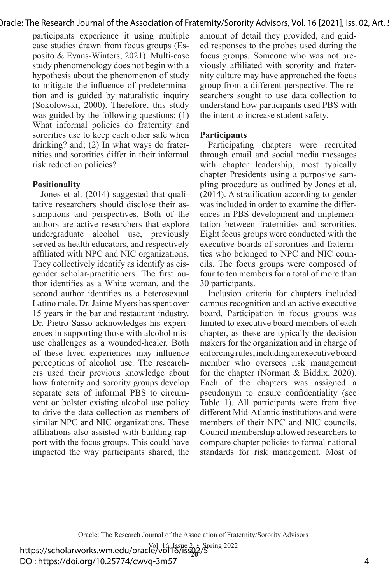participants experience it using multiple case studies drawn from focus groups (Esposito & Evans-Winters, 2021). Multi-case study phenomenology does not begin with a hypothesis about the phenomenon of study to mitigate the influence of predetermination and is guided by naturalistic inquiry (Sokolowski, 2000). Therefore, this study was guided by the following questions: (1) What informal policies do fraternity and sororities use to keep each other safe when drinking? and; (2) In what ways do fraternities and sororities differ in their informal risk reduction policies?

#### **Positionality**

Jones et al. (2014) suggested that qualitative researchers should disclose their assumptions and perspectives. Both of the authors are active researchers that explore undergraduate alcohol use, previously served as health educators, and respectively affiliated with NPC and NIC organizations. They collectively identify as identify as cisgender scholar-practitioners. The first author identifies as a White woman, and the second author identifies as a heterosexual Latino male. Dr. Jaime Myers has spent over 15 years in the bar and restaurant industry. Dr. Pietro Sasso acknowledges his experiences in supporting those with alcohol misuse challenges as a wounded-healer. Both of these lived experiences may influence perceptions of alcohol use. The researchers used their previous knowledge about how fraternity and sorority groups develop separate sets of informal PBS to circumvent or bolster existing alcohol use policy to drive the data collection as members of similar NPC and NIC organizations. These affiliations also assisted with building rapport with the focus groups. This could have impacted the way participants shared, the

amount of detail they provided, and guided responses to the probes used during the focus groups. Someone who was not previously affiliated with sorority and fraternity culture may have approached the focus group from a different perspective. The researchers sought to use data collection to understand how participants used PBS with the intent to increase student safety.

#### **Participants**

Participating chapters were recruited through email and social media messages with chapter leadership, most typically chapter Presidents using a purposive sampling procedure as outlined by Jones et al. (2014). A stratification according to gender was included in order to examine the differences in PBS development and implementation between fraternities and sororities. Eight focus groups were conducted with the executive boards of sororities and fraternities who belonged to NPC and NIC councils. The focus groups were composed of four to ten members for a total of more than 30 participants.

Inclusion criteria for chapters included campus recognition and an active executive board. Participation in focus groups was limited to executive board members of each chapter, as these are typically the decision makers for the organization and in charge of enforcing rules, including an executive board member who oversees risk management for the chapter (Norman & Biddix, 2020). Each of the chapters was assigned a pseudonym to ensure confidentiality (see Table 1). All participants were from five different Mid-Atlantic institutions and were members of their NPC and NIC councils. Council membership allowed researchers to compare chapter policies to formal national standards for risk management. Most of

Oracle: The Research Journal of the Association of Fraternity/Sorority Advisors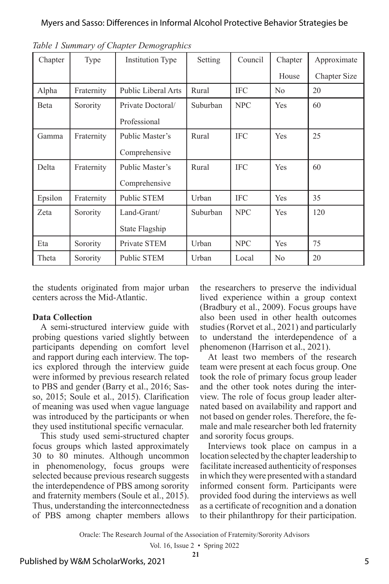| Chapter | Type       | <b>Institution Type</b>    | Setting  | Council    | Chapter        | Approximate         |
|---------|------------|----------------------------|----------|------------|----------------|---------------------|
|         |            |                            |          |            | House          | <b>Chapter Size</b> |
| Alpha   | Fraternity | <b>Public Liberal Arts</b> | Rural    | <b>IFC</b> | N <sub>0</sub> | 20                  |
| Beta    | Sorority   | Private Doctoral/          | Suburban | <b>NPC</b> | Yes            | 60                  |
|         |            | Professional               |          |            |                |                     |
| Gamma   | Fraternity | Public Master's            | Rural    | <b>IFC</b> | Yes            | 25                  |
|         |            | Comprehensive              |          |            |                |                     |
| Delta   | Fraternity | Public Master's            | Rural    | <b>IFC</b> | Yes            | 60                  |
|         |            | Comprehensive              |          |            |                |                     |
| Epsilon | Fraternity | <b>Public STEM</b>         | Urban    | <b>IFC</b> | Yes            | 35                  |
| Zeta    | Sorority   | Land-Grant/                | Suburban | <b>NPC</b> | Yes            | 120                 |
|         |            | State Flagship             |          |            |                |                     |
| Eta     | Sorority   | Private STEM               | Urban    | <b>NPC</b> | Yes            | 75                  |
| Theta   | Sorority   | Public STEM                | Urban    | Local      | No             | 20                  |

*Table 1 Summary of Chapter Demographics*

the students originated from major urban centers across the Mid-Atlantic.

#### **Data Collection**

A semi-structured interview guide with probing questions varied slightly between participants depending on comfort level and rapport during each interview. The topics explored through the interview guide were informed by previous research related to PBS and gender (Barry et al., 2016; Sasso, 2015; Soule et al., 2015). Clarification of meaning was used when vague language was introduced by the participants or when they used institutional specific vernacular.

This study used semi-structured chapter focus groups which lasted approximately 30 to 80 minutes. Although uncommon in phenomenology, focus groups were selected because previous research suggests the interdependence of PBS among sorority and fraternity members (Soule et al., 2015). Thus, understanding the interconnectedness of PBS among chapter members allows

the researchers to preserve the individual lived experience within a group context (Bradbury et al., 2009). Focus groups have also been used in other health outcomes studies (Rorvet et al., 2021) and particularly to understand the interdependence of a phenomenon (Harrison et al., 2021).

At least two members of the research team were present at each focus group. One took the role of primary focus group leader and the other took notes during the interview. The role of focus group leader alternated based on availability and rapport and not based on gender roles. Therefore, the female and male researcher both led fraternity and sorority focus groups.

Interviews took place on campus in a location selected by the chapter leadership to facilitate increased authenticity of responses in which they were presented with a standard informed consent form. Participants were provided food during the interviews as well as a certificate of recognition and a donation to their philanthropy for their participation.

Oracle: The Research Journal of the Association of Fraternity/Sorority Advisors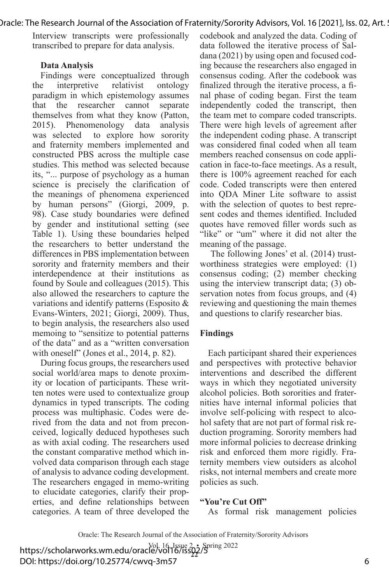Interview transcripts were professionally transcribed to prepare for data analysis.

#### **Data Analysis**

Findings were conceptualized through the interpretive relativist ontology paradigm in which epistemology assumes that the researcher cannot separate themselves from what they know (Patton, 2015). Phenomenology data analysis was selected to explore how sorority and fraternity members implemented and constructed PBS across the multiple case studies. This method was selected because its, "... purpose of psychology as a human science is precisely the clarification of the meanings of phenomena experienced by human persons" (Giorgi, 2009, p. 98). Case study boundaries were defined by gender and institutional setting (see Table 1). Using these boundaries helped the researchers to better understand the differences in PBS implementation between sorority and fraternity members and their interdependence at their institutions as found by Soule and colleagues (2015). This also allowed the researchers to capture the variations and identify patterns (Esposito & Evans-Winters, 2021; Giorgi, 2009). Thus, to begin analysis, the researchers also used memoing to "sensitize to potential patterns of the data" and as a "written conversation with oneself" (Jones et al., 2014, p. 82).

During focus groups, the researchers used social world/area maps to denote proximity or location of participants. These written notes were used to contextualize group dynamics in typed transcripts. The coding process was multiphasic. Codes were derived from the data and not from preconceived, logically deduced hypotheses such as with axial coding. The researchers used the constant comparative method which involved data comparison through each stage of analysis to advance coding development. The researchers engaged in memo-writing to elucidate categories, clarify their properties, and define relationships between categories. A team of three developed the

codebook and analyzed the data. Coding of data followed the iterative process of Saldana (2021) by using open and focused coding because the researchers also engaged in consensus coding. After the codebook was finalized through the iterative process, a final phase of coding began. First the team independently coded the transcript, then the team met to compare coded transcripts. There were high levels of agreement after the independent coding phase. A transcript was considered final coded when all team members reached consensus on code application in face-to-face meetings. As a result, there is 100% agreement reached for each code. Coded transcripts were then entered into QDA Miner Lite software to assist with the selection of quotes to best represent codes and themes identified. Included quotes have removed filler words such as "like" or "um" where it did not alter the meaning of the passage.

 The following Jones' et al. (2014) trustworthiness strategies were employed: (1) consensus coding; (2) member checking using the interview transcript data; (3) observation notes from focus groups, and (4) reviewing and questioning the main themes and questions to clarify researcher bias.

#### **Findings**

Each participant shared their experiences and perspectives with protective behavior interventions and described the different ways in which they negotiated university alcohol policies. Both sororities and fraternities have internal informal policies that involve self-policing with respect to alcohol safety that are not part of formal risk reduction programing. Sorority members had more informal policies to decrease drinking risk and enforced them more rigidly. Fraternity members view outsiders as alcohol risks, not internal members and create more policies as such.

#### **"You're Cut Off"**

As formal risk management policies

Oracle: The Research Journal of the Association of Fraternity/Sorority Advisors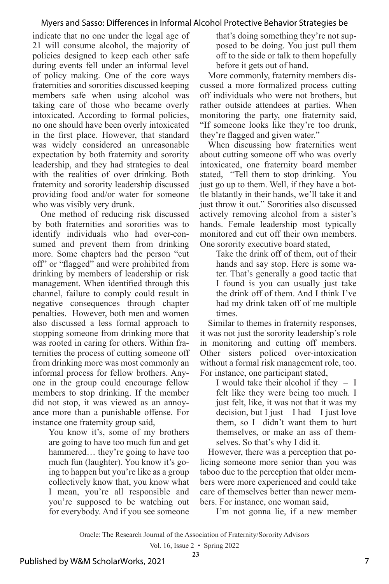indicate that no one under the legal age of 21 will consume alcohol, the majority of policies designed to keep each other safe during events fell under an informal level of policy making. One of the core ways fraternities and sororities discussed keeping members safe when using alcohol was taking care of those who became overly intoxicated. According to formal policies, no one should have been overly intoxicated in the first place. However, that standard was widely considered an unreasonable expectation by both fraternity and sorority leadership, and they had strategies to deal with the realities of over drinking. Both fraternity and sorority leadership discussed providing food and/or water for someone who was visibly very drunk.

One method of reducing risk discussed by both fraternities and sororities was to identify individuals who had over-consumed and prevent them from drinking more. Some chapters had the person "cut off" or "flagged" and were prohibited from drinking by members of leadership or risk management. When identified through this channel, failure to comply could result in negative consequences through chapter penalties. However, both men and women also discussed a less formal approach to stopping someone from drinking more that was rooted in caring for others. Within fraternities the process of cutting someone off from drinking more was most commonly an informal process for fellow brothers. Anyone in the group could encourage fellow members to stop drinking. If the member did not stop, it was viewed as an annoyance more than a punishable offense. For instance one fraternity group said,

You know it's, some of my brothers are going to have too much fun and get hammered… they're going to have too much fun (laughter). You know it's going to happen but you're like as a group collectively know that, you know what I mean, you're all responsible and you're supposed to be watching out for everybody. And if you see someone

that's doing something they're not supposed to be doing. You just pull them off to the side or talk to them hopefully before it gets out of hand.

More commonly, fraternity members discussed a more formalized process cutting off individuals who were not brothers, but rather outside attendees at parties. When monitoring the party, one fraternity said, "If someone looks like they're too drunk, they're flagged and given water."

When discussing how fraternities went about cutting someone off who was overly intoxicated, one fraternity board member stated, "Tell them to stop drinking. You just go up to them. Well, if they have a bottle blatantly in their hands, we'll take it and just throw it out." Sororities also discussed actively removing alcohol from a sister's hands. Female leadership most typically monitored and cut off their own members. One sorority executive board stated,

Take the drink off of them, out of their hands and say stop. Here is some water. That's generally a good tactic that I found is you can usually just take the drink off of them. And I think I've had my drink taken off of me multiple times.

Similar to themes in fraternity responses, it was not just the sorority leadership's role in monitoring and cutting off members. Other sisters policed over-intoxication without a formal risk management role, too. For instance, one participant stated,

I would take their alcohol if they – I felt like they were being too much. I just felt, like, it was not that it was my decision, but I just– I had– I just love them, so I didn't want them to hurt themselves, or make an ass of themselves. So that's why I did it.

However, there was a perception that policing someone more senior than you was taboo due to the perception that older members were more experienced and could take care of themselves better than newer members. For instance, one woman said,

I'm not gonna lie, if a new member

Oracle: The Research Journal of the Association of Fraternity/Sorority Advisors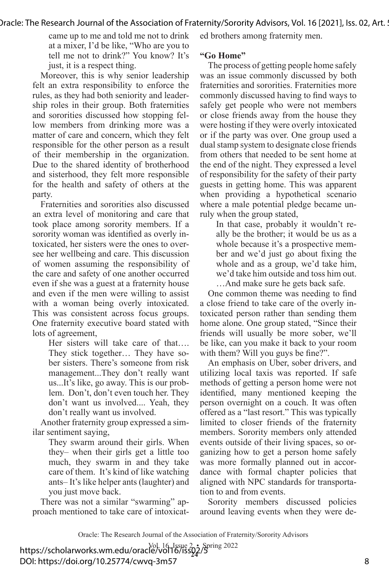came up to me and told me not to drink at a mixer, I'd be like, "Who are you to tell me not to drink?" You know? It's just, it is a respect thing.

Moreover, this is why senior leadership felt an extra responsibility to enforce the rules, as they had both seniority and leadership roles in their group. Both fraternities and sororities discussed how stopping fellow members from drinking more was a matter of care and concern, which they felt responsible for the other person as a result of their membership in the organization. Due to the shared identity of brotherhood and sisterhood, they felt more responsible for the health and safety of others at the party.

Fraternities and sororities also discussed an extra level of monitoring and care that took place among sorority members. If a sorority woman was identified as overly intoxicated, her sisters were the ones to oversee her wellbeing and care. This discussion of women assuming the responsibility of the care and safety of one another occurred even if she was a guest at a fraternity house and even if the men were willing to assist with a woman being overly intoxicated. This was consistent across focus groups. One fraternity executive board stated with lots of agreement,

> Her sisters will take care of that…. They stick together… They have sober sisters. There's someone from risk management...They don't really want us...It's like, go away. This is our problem. Don't, don't even touch her. They don't want us involved.... Yeah, they don't really want us involved.

Another fraternity group expressed a similar sentiment saying,

> They swarm around their girls. When they– when their girls get a little too much, they swarm in and they take care of them. It's kind of like watching ants– It's like helper ants (laughter) and you just move back.

There was not a similar "swarming" approach mentioned to take care of intoxicated brothers among fraternity men.

## **"Go Home"**

The process of getting people home safely was an issue commonly discussed by both fraternities and sororities. Fraternities more commonly discussed having to find ways to safely get people who were not members or close friends away from the house they were hosting if they were overly intoxicated or if the party was over. One group used a dual stamp system to designate close friends from others that needed to be sent home at the end of the night. They expressed a level of responsibility for the safety of their party guests in getting home. This was apparent when providing a hypothetical scenario where a male potential pledge became unruly when the group stated,

In that case, probably it wouldn't really be the brother; it would be us as a whole because it's a prospective member and we'd just go about fixing the whole and as a group, we'd take him, we'd take him outside and toss him out.

…And make sure he gets back safe.

One common theme was needing to find a close friend to take care of the overly intoxicated person rather than sending them home alone. One group stated, "Since their friends will usually be more sober, we'll be like, can you make it back to your room with them? Will you guys be fine?".

An emphasis on Uber, sober drivers, and utilizing local taxis was reported. If safe methods of getting a person home were not identified, many mentioned keeping the person overnight on a couch. It was often offered as a "last resort." This was typically limited to closer friends of the fraternity members. Sorority members only attended events outside of their living spaces, so organizing how to get a person home safely was more formally planned out in accordance with formal chapter policies that aligned with NPC standards for transportation to and from events.

Sorority members discussed policies around leaving events when they were de-

Oracle: The Research Journal of the Association of Fraternity/Sorority Advisors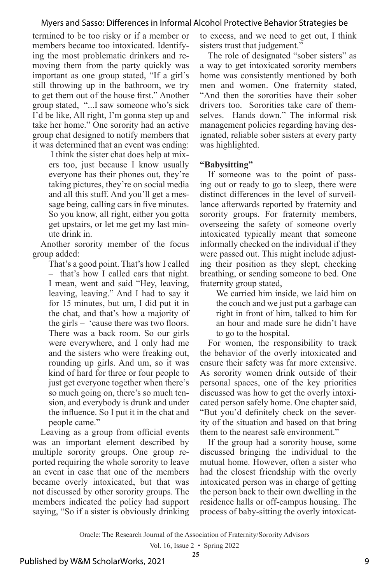termined to be too risky or if a member or members became too intoxicated. Identifying the most problematic drinkers and removing them from the party quickly was important as one group stated, "If a girl's still throwing up in the bathroom, we try to get them out of the house first." Another group stated, "...I saw someone who's sick I'd be like, All right, I'm gonna step up and take her home." One sorority had an active group chat designed to notify members that it was determined that an event was ending:

 I think the sister chat does help at mixers too, just because I know usually everyone has their phones out, they're taking pictures, they're on social media and all this stuff. And you'll get a message being, calling cars in five minutes. So you know, all right, either you gotta get upstairs, or let me get my last minute drink in.

Another sorority member of the focus group added:

That's a good point. That's how I called – that's how I called cars that night. I mean, went and said "Hey, leaving, leaving, leaving." And I had to say it for 15 minutes, but um, I did put it in the chat, and that's how a majority of the girls – 'cause there was two floors. There was a back room. So our girls were everywhere, and I only had me and the sisters who were freaking out, rounding up girls. And um, so it was kind of hard for three or four people to just get everyone together when there's so much going on, there's so much tension, and everybody is drunk and under the influence. So I put it in the chat and people came."

Leaving as a group from official events was an important element described by multiple sorority groups. One group reported requiring the whole sorority to leave an event in case that one of the members became overly intoxicated, but that was not discussed by other sorority groups. The members indicated the policy had support saying, "So if a sister is obviously drinking to excess, and we need to get out, I think sisters trust that judgement."

The role of designated "sober sisters" as a way to get intoxicated sorority members home was consistently mentioned by both men and women. One fraternity stated, "And then the sororities have their sober drivers too. Sororities take care of themselves. Hands down." The informal risk management policies regarding having designated, reliable sober sisters at every party was highlighted.

#### **"Babysitting"**

If someone was to the point of passing out or ready to go to sleep, there were distinct differences in the level of surveillance afterwards reported by fraternity and sorority groups. For fraternity members, overseeing the safety of someone overly intoxicated typically meant that someone informally checked on the individual if they were passed out. This might include adjusting their position as they slept, checking breathing, or sending someone to bed. One fraternity group stated,

We carried him inside, we laid him on the couch and we just put a garbage can right in front of him, talked to him for an hour and made sure he didn't have to go to the hospital.

For women, the responsibility to track the behavior of the overly intoxicated and ensure their safety was far more extensive. As sorority women drink outside of their personal spaces, one of the key priorities discussed was how to get the overly intoxicated person safely home. One chapter said, "But you'd definitely check on the severity of the situation and based on that bring them to the nearest safe environment."

If the group had a sorority house, some discussed bringing the individual to the mutual home. However, often a sister who had the closest friendship with the overly intoxicated person was in charge of getting the person back to their own dwelling in the residence halls or off-campus housing. The process of baby-sitting the overly intoxicat-

Oracle: The Research Journal of the Association of Fraternity/Sorority Advisors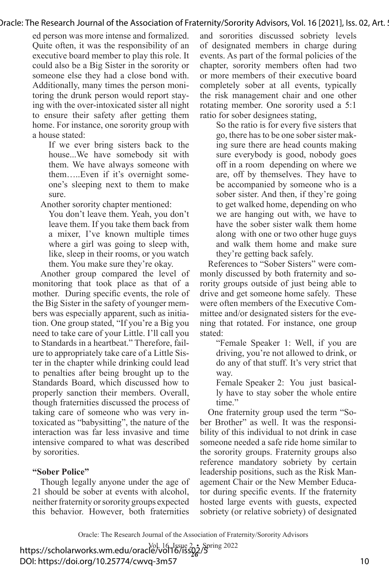ed person was more intense and formalized. Quite often, it was the responsibility of an executive board member to play this role. It could also be a Big Sister in the sorority or someone else they had a close bond with. Additionally, many times the person monitoring the drunk person would report staying with the over-intoxicated sister all night to ensure their safety after getting them home. For instance, one sorority group with a house stated:

If we ever bring sisters back to the house...We have somebody sit with them. We have always someone with them…..Even if it's overnight someone's sleeping next to them to make sure.

Another sorority chapter mentioned:

You don't leave them. Yeah, you don't leave them. If you take them back from a mixer, I've known multiple times where a girl was going to sleep with, like, sleep in their rooms, or you watch them. You make sure they're okay.

Another group compared the level of monitoring that took place as that of a mother. During specific events, the role of the Big Sister in the safety of younger members was especially apparent, such as initiation. One group stated, "If you're a Big you need to take care of your Little. I'll call you to Standards in a heartbeat." Therefore, failure to appropriately take care of a Little Sister in the chapter while drinking could lead to penalties after being brought up to the Standards Board, which discussed how to properly sanction their members. Overall, though fraternities discussed the process of taking care of someone who was very intoxicated as "babysitting", the nature of the interaction was far less invasive and time intensive compared to what was described by sororities.

#### **"Sober Police"**

Though legally anyone under the age of 21 should be sober at events with alcohol, neither fraternity or sorority groups expected this behavior. However, both fraternities

and sororities discussed sobriety levels of designated members in charge during events. As part of the formal policies of the chapter, sorority members often had two or more members of their executive board completely sober at all events, typically the risk management chair and one other rotating member. One sorority used a 5:1 ratio for sober designees stating,

So the ratio is for every five sisters that go, there has to be one sober sister making sure there are head counts making sure everybody is good, nobody goes off in a room depending on where we are, off by themselves. They have to be accompanied by someone who is a sober sister. And then, if they're going to get walked home, depending on who we are hanging out with, we have to have the sober sister walk them home along with one or two other huge guys and walk them home and make sure they're getting back safely.

References to "Sober Sisters" were commonly discussed by both fraternity and sorority groups outside of just being able to drive and get someone home safely. These were often members of the Executive Committee and/or designated sisters for the evening that rotated. For instance, one group stated:

"Female Speaker 1: Well, if you are driving, you're not allowed to drink, or do any of that stuff. It's very strict that way.

Female Speaker 2: You just basically have to stay sober the whole entire time."

One fraternity group used the term "Sober Brother" as well. It was the responsibility of this individual to not drink in case someone needed a safe ride home similar to the sorority groups. Fraternity groups also reference mandatory sobriety by certain leadership positions, such as the Risk Management Chair or the New Member Educator during specific events. If the fraternity hosted large events with guests, expected sobriety (or relative sobriety) of designated

Oracle: The Research Journal of the Association of Fraternity/Sorority Advisors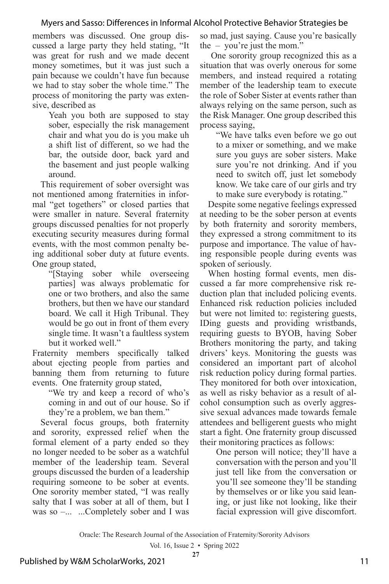members was discussed. One group discussed a large party they held stating, "It was great for rush and we made decent money sometimes, but it was just such a pain because we couldn't have fun because we had to stay sober the whole time." The process of monitoring the party was extensive, described as

> Yeah you both are supposed to stay sober, especially the risk management chair and what you do is you make uh a shift list of different, so we had the bar, the outside door, back yard and the basement and just people walking around.

This requirement of sober oversight was not mentioned among fraternities in informal "get togethers" or closed parties that were smaller in nature. Several fraternity groups discussed penalties for not properly executing security measures during formal events, with the most common penalty being additional sober duty at future events. One group stated,

"[Staying sober while overseeing parties] was always problematic for one or two brothers, and also the same brothers, but then we have our standard board. We call it High Tribunal. They would be go out in front of them every single time. It wasn't a faultless system but it worked well."

Fraternity members specifically talked about ejecting people from parties and banning them from returning to future events. One fraternity group stated,

> "We try and keep a record of who's coming in and out of our house. So if they're a problem, we ban them."

Several focus groups, both fraternity and sorority, expressed relief when the formal element of a party ended so they no longer needed to be sober as a watchful member of the leadership team. Several groups discussed the burden of a leadership requiring someone to be sober at events. One sorority member stated, "I was really salty that I was sober at all of them, but I was so –... ...Completely sober and I was

so mad, just saying. Cause you're basically the – you're just the mom."

 One sorority group recognized this as a situation that was overly onerous for some members, and instead required a rotating member of the leadership team to execute the role of Sober Sister at events rather than always relying on the same person, such as the Risk Manager. One group described this process saying,

"We have talks even before we go out to a mixer or something, and we make sure you guys are sober sisters. Make sure you're not drinking. And if you need to switch off, just let somebody know. We take care of our girls and try to make sure everybody is rotating."

Despite some negative feelings expressed at needing to be the sober person at events by both fraternity and sorority members, they expressed a strong commitment to its purpose and importance. The value of having responsible people during events was spoken of seriously.

When hosting formal events, men discussed a far more comprehensive risk reduction plan that included policing events. Enhanced risk reduction policies included but were not limited to: registering guests, IDing guests and providing wristbands, requiring guests to BYOB, having Sober Brothers monitoring the party, and taking drivers' keys. Monitoring the guests was considered an important part of alcohol risk reduction policy during formal parties. They monitored for both over intoxication, as well as risky behavior as a result of alcohol consumption such as overly aggressive sexual advances made towards female attendees and belligerent guests who might start a fight. One fraternity group discussed their monitoring practices as follows:

One person will notice; they'll have a conversation with the person and you'll just tell like from the conversation or you'll see someone they'll be standing by themselves or or like you said leaning, or just like not looking, like their facial expression will give discomfort.

Oracle: The Research Journal of the Association of Fraternity/Sorority Advisors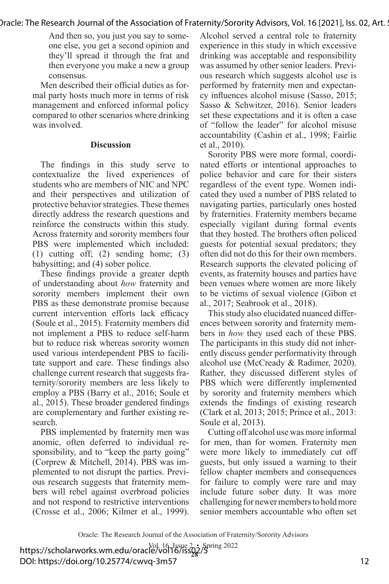And then so, you just you say to someone else, you get a second opinion and they'll spread it through the frat and then everyone you make a new a group consensus.

Men described their official duties as formal party hosts much more in terms of risk management and enforced informal policy compared to other scenarios where drinking was involved.

#### **Discussion**

The findings in this study serve to contextualize the lived experiences of students who are members of NIC and NPC and their perspectives and utilization of protective behavior strategies. These themes directly address the research questions and reinforce the constructs within this study. Across fraternity and sorority members four PBS were implemented which included: (1) cutting off; (2) sending home; (3) babysitting; and (4) sober police.

These findings provide a greater depth of understanding about *how* fraternity and sorority members implement their own PBS as these demonstrate promise because current intervention efforts lack efficacy (Soule et al., 2015). Fraternity members did not implement a PBS to reduce self-harm but to reduce risk whereas sorority women used various interdependent PBS to facilitate support and care. These findings also challenge current research that suggests fraternity/sorority members are less likely to employ a PBS (Barry et al., 2016; Soule et al., 2015). These broader gendered findings are complementary and further existing research.

PBS implemented by fraternity men was anomic, often deferred to individual responsibility, and to "keep the party going" (Corprew & Mitchell, 2014). PBS was implemented to not disrupt the parties. Previous research suggests that fraternity members will rebel against overbroad policies and not respond to restrictive interventions (Crosse et al., 2006; Kilmer et al., 1999).

Alcohol served a central role to fraternity experience in this study in which excessive drinking was acceptable and responsibility was assumed by other senior leaders. Previous research which suggests alcohol use is performed by fraternity men and expectancy influences alcohol misuse (Sasso, 2015; Sasso & Schwitzer, 2016). Senior leaders set these expectations and it is often a case of "follow the leader" for alcohol misuse accountability (Cashin et al., 1998; Fairlie et al., 2010).

Sorority PBS were more formal, coordinated efforts or intentional approaches to police behavior and care for their sisters regardless of the event type. Women indicated they used a number of PBS related to navigating parties, particularly ones hosted by fraternities. Fraternity members became especially vigilant during formal events that they hosted. The brothers often policed guests for potential sexual predators; they often did not do this for their own members. Research supports the elevated policing of events, as fraternity houses and parties have been venues where women are more likely to be victims of sexual violence (Gibon et al., 2017; Seabrook et al., 2018).

This study also elucidated nuanced differences between sorority and fraternity members in *how* they used each of these PBS. The participants in this study did not inherently discuss gender performativity through alcohol use (McCready & Radimer, 2020). Rather, they discussed different styles of PBS which were differently implemented by sorority and fraternity members which extends the findings of existing research (Clark et al, 2013; 2015; Prince et al., 2013: Soule et al, 2013).

Cutting off alcohol use was more informal for men, than for women. Fraternity men were more likely to immediately cut off guests, but only issued a warning to their fellow chapter members and consequences for failure to comply were rare and may include future sober duty. It was more challenging for newer members to hold more senior members accountable who often set

Oracle: The Research Journal of the Association of Fraternity/Sorority Advisors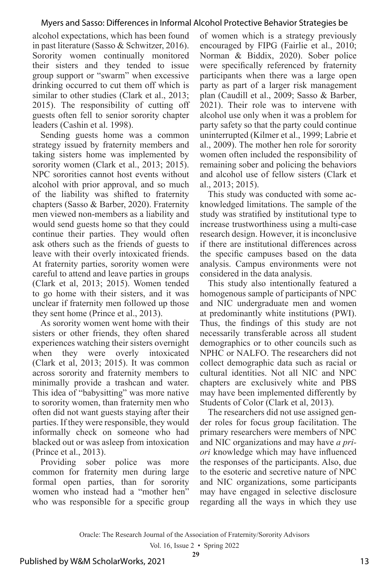alcohol expectations, which has been found in past literature (Sasso & Schwitzer, 2016). Sorority women continually monitored their sisters and they tended to issue group support or "swarm" when excessive drinking occurred to cut them off which is similar to other studies (Clark et al., 2013; 2015). The responsibility of cutting off guests often fell to senior sorority chapter leaders (Cashin et al. 1998).

Sending guests home was a common strategy issued by fraternity members and taking sisters home was implemented by sorority women (Clark et al., 2013; 2015). NPC sororities cannot host events without alcohol with prior approval, and so much of the liability was shifted to fraternity chapters (Sasso & Barber, 2020). Fraternity men viewed non-members as a liability and would send guests home so that they could continue their parties. They would often ask others such as the friends of guests to leave with their overly intoxicated friends. At fraternity parties, sorority women were careful to attend and leave parties in groups (Clark et al, 2013; 2015). Women tended to go home with their sisters, and it was unclear if fraternity men followed up those they sent home (Prince et al., 2013).

As sorority women went home with their sisters or other friends, they often shared experiences watching their sisters overnight when they were overly intoxicated (Clark et al, 2013; 2015). It was common across sorority and fraternity members to minimally provide a trashcan and water. This idea of "babysitting" was more native to sorority women, than fraternity men who often did not want guests staying after their parties. If they were responsible, they would informally check on someone who had blacked out or was asleep from intoxication (Prince et al., 2013).

Providing sober police was more common for fraternity men during large formal open parties, than for sorority women who instead had a "mother hen" who was responsible for a specific group of women which is a strategy previously encouraged by FIPG (Fairlie et al., 2010; Norman & Biddix, 2020). Sober police were specifically referenced by fraternity participants when there was a large open party as part of a larger risk management plan (Caudill et al., 2009; Sasso & Barber, 2021). Their role was to intervene with alcohol use only when it was a problem for party safety so that the party could continue uninterrupted (Kilmer et al., 1999; Labrie et al., 2009). The mother hen role for sorority women often included the responsibility of remaining sober and policing the behaviors and alcohol use of fellow sisters (Clark et al., 2013; 2015).

This study was conducted with some acknowledged limitations. The sample of the study was stratified by institutional type to increase trustworthiness using a multi-case research design. However, it is inconclusive if there are institutional differences across the specific campuses based on the data analysis. Campus environments were not considered in the data analysis.

This study also intentionally featured a homogenous sample of participants of NPC and NIC undergraduate men and women at predominantly white institutions (PWI). Thus, the findings of this study are not necessarily transferable across all student demographics or to other councils such as NPHC or NALFO. The researchers did not collect demographic data such as racial or cultural identities. Not all NIC and NPC chapters are exclusively white and PBS may have been implemented differently by Students of Color (Clark et al, 2013).

The researchers did not use assigned gender roles for focus group facilitation. The primary researchers were members of NPC and NIC organizations and may have *a priori* knowledge which may have influenced the responses of the participants. Also, due to the esoteric and secretive nature of NPC and NIC organizations, some participants may have engaged in selective disclosure regarding all the ways in which they use

Oracle: The Research Journal of the Association of Fraternity/Sorority Advisors

Vol. 16, Issue 2 • Spring 2022 **29**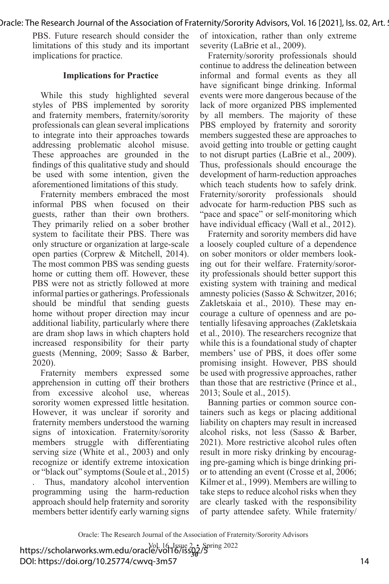PBS. Future research should consider the limitations of this study and its important implications for practice.

#### **Implications for Practice**

While this study highlighted several styles of PBS implemented by sorority and fraternity members, fraternity/sorority professionals can glean several implications to integrate into their approaches towards addressing problematic alcohol misuse. These approaches are grounded in the findings of this qualitative study and should be used with some intention, given the aforementioned limitations of this study.

Fraternity members embraced the most informal PBS when focused on their guests, rather than their own brothers. They primarily relied on a sober brother system to facilitate their PBS. There was only structure or organization at large-scale open parties (Corprew & Mitchell, 2014). The most common PBS was sending guests home or cutting them off. However, these PBS were not as strictly followed at more informal parties or gatherings. Professionals should be mindful that sending guests home without proper direction may incur additional liability, particularly where there are dram shop laws in which chapters hold increased responsibility for their party guests (Menning, 2009; Sasso & Barber, 2020).

Fraternity members expressed some apprehension in cutting off their brothers from excessive alcohol use, whereas sorority women expressed little hesitation. However, it was unclear if sorority and fraternity members understood the warning signs of intoxication. Fraternity/sorority members struggle with differentiating serving size (White et al., 2003) and only recognize or identify extreme intoxication or "black out" symptoms (Soule et al., 2015) . Thus, mandatory alcohol intervention programming using the harm-reduction approach should help fraternity and sorority members better identify early warning signs

of intoxication, rather than only extreme severity (LaBrie et al., 2009).

Fraternity/sorority professionals should continue to address the delineation between informal and formal events as they all have significant binge drinking. Informal events were more dangerous because of the lack of more organized PBS implemented by all members. The majority of these PBS employed by fraternity and sorority members suggested these are approaches to avoid getting into trouble or getting caught to not disrupt parties (LaBrie et al., 2009). Thus, professionals should encourage the development of harm-reduction approaches which teach students how to safely drink. Fraternity/sorority professionals should advocate for harm-reduction PBS such as "pace and space" or self-monitoring which have individual efficacy (Wall et al., 2012).

Fraternity and sorority members did have a loosely coupled culture of a dependence on sober monitors or older members looking out for their welfare. Fraternity/sorority professionals should better support this existing system with training and medical amnesty policies (Sasso & Schwitzer, 2016; Zakletskaia et al., 2010). These may encourage a culture of openness and are potentially lifesaving approaches (Zakletskaia et al., 2010). The researchers recognize that while this is a foundational study of chapter members' use of PBS, it does offer some promising insight. However, PBS should be used with progressive approaches, rather than those that are restrictive (Prince et al., 2013; Soule et al., 2015).

Banning parties or common source containers such as kegs or placing additional liability on chapters may result in increased alcohol risks, not less (Sasso & Barber, 2021). More restrictive alcohol rules often result in more risky drinking by encouraging pre-gaming which is binge drinking prior to attending an event (Crosse et al, 2006; Kilmer et al., 1999). Members are willing to take steps to reduce alcohol risks when they are clearly tasked with the responsibility of party attendee safety. While fraternity/

Oracle: The Research Journal of the Association of Fraternity/Sorority Advisors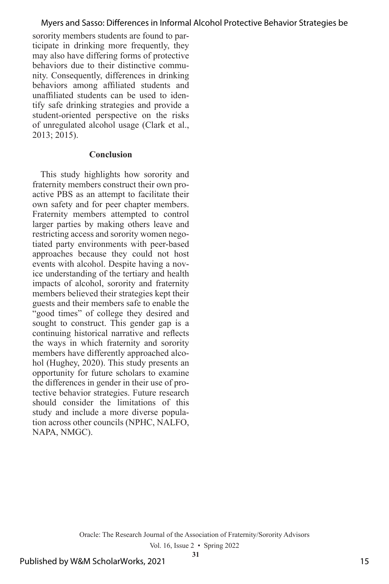sorority members students are found to participate in drinking more frequently, they may also have differing forms of protective behaviors due to their distinctive community. Consequently, differences in drinking behaviors among affiliated students and unaffiliated students can be used to identify safe drinking strategies and provide a student-oriented perspective on the risks of unregulated alcohol usage (Clark et al., 2013; 2015).

#### **Conclusion**

This study highlights how sorority and fraternity members construct their own proactive PBS as an attempt to facilitate their own safety and for peer chapter members. Fraternity members attempted to control larger parties by making others leave and restricting access and sorority women negotiated party environments with peer-based approaches because they could not host events with alcohol. Despite having a novice understanding of the tertiary and health impacts of alcohol, sorority and fraternity members believed their strategies kept their guests and their members safe to enable the "good times" of college they desired and sought to construct. This gender gap is a continuing historical narrative and reflects the ways in which fraternity and sorority members have differently approached alcohol (Hughey, 2020). This study presents an opportunity for future scholars to examine the differences in gender in their use of protective behavior strategies. Future research should consider the limitations of this study and include a more diverse population across other councils (NPHC, NALFO, NAPA, NMGC).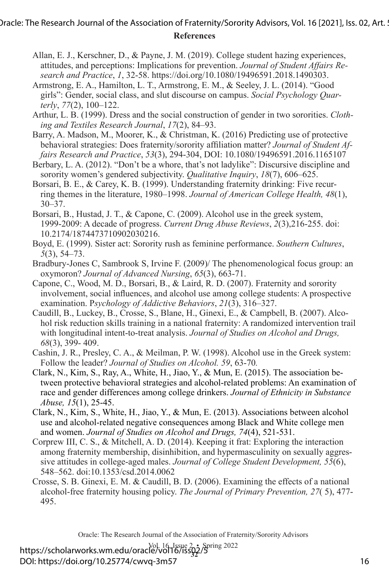- Allan, E. J., Kerschner, D., & Payne, J. M. (2019). College student hazing experiences, attitudes, and perceptions: Implications for prevention. *Journal of Student Affairs Research and Practice*, *1*, 32-58. https://doi.org/10.1080/19496591.2018.1490303.
- Armstrong, E. A., Hamilton, L. T., Armstrong, E. M., & Seeley, J. L. (2014). "Good girls": Gender, social class, and slut discourse on campus. *Social Psychology Quarterly*, *77*(2), 100–122.
- Arthur, L. B. (1999). Dress and the social construction of gender in two sororities. *Clothing and Textiles Research Journal*, *17*(2), 84–93.
- Barry, A. Madson, M., Moorer, K., & Christman, K. (2016) Predicting use of protective behavioral strategies: Does fraternity/sorority affiliation matter? *Journal of Student Affairs Research and Practice*, *53*(3), 294-304, DOI: 10.1080/19496591.2016.1165107
- Berbary, L. A. (2012). "Don't be a whore, that's not ladylike": Discursive discipline and sorority women's gendered subjectivity. *Qualitative Inquiry*, *18*(7), 606–625.
- Borsari, B. E., & Carey, K. B. (1999). Understanding fraternity drinking: Five recurring themes in the literature, 1980–1998. *Journal of American College Health, 48*(1),  $30 - 37$ .
- Borsari, B., Hustad, J. T., & Capone, C. (2009). Alcohol use in the greek system, 1999-2009: A decade of progress. *Current Drug Abuse Reviews*, *2*(3),216-255. doi: 10.2174/1874473710902030216.
- Boyd, E. (1999). Sister act: Sorority rush as feminine performance. *Southern Cultures*, *5*(3), 54–73.
- Bradbury-Jones C, Sambrook S, Irvine F. (2009)/ The phenomenological focus group: an oxymoron? *Journal of Advanced Nursing*, *65*(3), 663-71.
- Capone, C., Wood, M. D., Borsari, B., & Laird, R. D. (2007). Fraternity and sorority involvement, social influences, and alcohol use among college students: A prospective examination. P*sychology of Addictive Behaviors*, *21*(3), 316–327.
- Caudill, B., Luckey, B., Crosse, S., Blane, H., Ginexi, E., & Campbell, B. (2007). Alcohol risk reduction skills training in a national fraternity: A randomized intervention trail with longitudinal intent-to-treat analysis. *Journal of Studies on Alcohol and Drugs, 68*(3), 399- 409.
- Cashin, J. R., Presley, C. A., & Meilman, P. W. (1998). Alcohol use in the Greek system: Follow the leader? *Journal of Studies on Alcohol. 59*, 63-70*.*
- Clark, N., Kim, S., Ray, A., White, H., Jiao, Y., & Mun, E. (2015). The association between protective behavioral strategies and alcohol-related problems: An examination of race and gender differences among college drinkers. *Journal of Ethnicity in Substance Abuse, 15*(1), 25-45.
- Clark, N., Kim, S., White, H., Jiao, Y., & Mun, E. (2013). Associations between alcohol use and alcohol-related negative consequences among Black and White college men and women. *Journal of Studies on Alcohol and Drugs, 74*(4), 521-531.
- Corprew III, C. S., & Mitchell, A. D. (2014). Keeping it frat: Exploring the interaction among fraternity membership, disinhibition, and hypermasculinity on sexually aggressive attitudes in college-aged males. *Journal of College Student Development, 55*(6), 548–562. doi:10.1353/csd.2014.0062
- Crosse, S. B. Ginexi, E. M. & Caudill, B. D. (2006). Examining the effects of a national alcohol-free fraternity housing policy. *The Journal of Primary Prevention, 27*( 5), 477- 495.

Oracle: The Research Journal of the Association of Fraternity/Sorority Advisors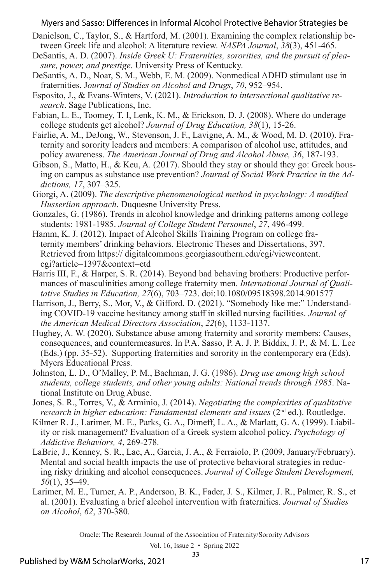- Danielson, C., Taylor, S., & Hartford, M. (2001). Examining the complex relationship between Greek life and alcohol: A literature review. *NASPA Journal*, *38*(3), 451-465.
- DeSantis, A. D. (2007). *Inside Greek U: Fraternities, sororities, and the pursuit of pleasure, power, and prestige*. University Press of Kentucky.
- DeSantis, A. D., Noar, S. M., Webb, E. M. (2009). Nonmedical ADHD stimulant use in fraternities. J*ournal of Studies on Alcohol and Drugs*, *70*, 952–954.
- Esposito, J., & Evans-Winters, V. (2021). *Introduction to intersectional qualitative research*. Sage Publications, Inc.
- Fabian, L. E., Toomey, T. I, Lenk, K. M., & Erickson, D. J. (2008). Where do underage college students get alcohol? *Journal of Drug Education, 38*(1), 15-26.
- Fairlie, A. M., DeJong, W., Stevenson, J. F., Lavigne, A. M., & Wood, M. D. (2010). Fraternity and sorority leaders and members: A comparison of alcohol use, attitudes, and policy awareness. *The American Journal of Drug and Alcohol Abuse, 36*, 187-193.
- Gibson, S., Matto, H., & Keu, A.  $(2017)$ . Should they stay or should they go: Greek housing on campus as substance use prevention? *Journal of Social Work Practice in the Addictions, 17*, 307–325.
- Giorgi, A. (2009). *The descriptive phenomenological method in psychology: A modified Husserlian approach*. Duquesne University Press.
- Gonzales, G. (1986). Trends in alcohol knowledge and drinking patterns among college students: 1981-1985. *Journal of College Student Personnel*, *27*, 496-499.
- Hamm, K. J. (2012). Impact of Alcohol Skills Training Program on college fraternity members' drinking behaviors. Electronic Theses and Dissertations, 397. Retrieved from https:// digitalcommons.georgiasouthern.edu/cgi/viewcontent. cgi?article=1397&context=etd
- Harris III, F., & Harper, S. R. (2014). Beyond bad behaving brothers: Productive performances of masculinities among college fraternity men. *International Journal of Qualitative Studies in Education, 27*(6), 703–723. doi:10.1080/09518398.2014.901577
- Harrison, J., Berry, S., Mor, V., & Gifford. D. (2021). "Somebody like me:" Understanding COVID-19 vaccine hesitancy among staff in skilled nursing facilities. *Journal of the American Medical Directors Association*, *22*(6), 1133-1137.
- Hughey, A. W. (2020). Substance abuse among fraternity and sorority members: Causes, consequences, and countermeasures. In P.A. Sasso, P. A. J. P. Biddix, J. P., & M. L. Lee (Eds.) (pp. 35-52). Supporting fraternities and sorority in the contemporary era (Eds). Myers Educational Press.
- Johnston, L. D., O'Malley, P. M., Bachman, J. G. (1986). *Drug use among high school students, college students, and other young adults: National trends through 1985*. National Institute on Drug Abuse.
- Jones, S. R., Torres, V., & Arminio, J. (2014). *Negotiating the complexities of qualitative research in higher education: Fundamental elements and issues* (2<sup>nd</sup> ed.). Routledge.
- Kilmer R. J., Larimer, M. E., Parks, G. A., Dimeff, L. A., & Marlatt, G. A. (1999). Liability or risk management? Evaluation of a Greek system alcohol policy. *Psychology of Addictive Behaviors, 4*, 269-278.
- LaBrie, J., Kenney, S. R., Lac, A., Garcia, J. A., & Ferraiolo, P. (2009, January/February). Mental and social health impacts the use of protective behavioral strategies in reducing risky drinking and alcohol consequences. *Journal of College Student Development, 50*(1), 35–49.
- Larimer, M. E., Turner, A. P., Anderson, B. K., Fader, J. S., Kilmer, J. R., Palmer, R. S., et al. (2001). Evaluating a brief alcohol intervention with fraternities. *Journal of Studies on Alcohol*, *62*, 370-380.

Oracle: The Research Journal of the Association of Fraternity/Sorority Advisors

Vol. 16, Issue 2 • Spring 2022 **33**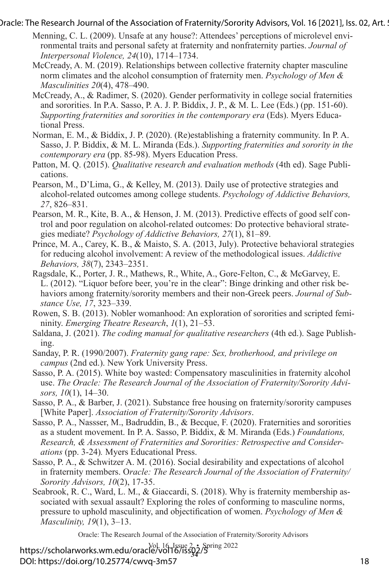- Menning, C. L. (2009). Unsafe at any house?: Attendees' perceptions of microlevel environmental traits and personal safety at fraternity and nonfraternity parties. *Journal of Interpersonal Violence, 24*(10), 1714–1734.
- McCready, A. M. (2019). Relationships between collective fraternity chapter masculine norm climates and the alcohol consumption of fraternity men. *Psychology of Men & Masculinities 20*(4), 478–490.
- McCready, A., & Radimer, S. (2020). Gender performativity in college social fraternities and sororities. In P.A. Sasso, P. A. J. P. Biddix, J. P., & M. L. Lee (Eds.) (pp. 151-60). *Supporting fraternities and sororities in the contemporary era* (Eds). Myers Educational Press.
- Norman, E. M., & Biddix, J. P. (2020). (Re)establishing a fraternity community. In P. A. Sasso, J. P. Biddix, & M. L. Miranda (Eds.). *Supporting fraternities and sorority in the contemporary era* (pp. 85-98). Myers Education Press.
- Patton, M. Q. (2015). *Qualitative research and evaluation methods* (4th ed). Sage Publications.
- Pearson, M., D'Lima, G., & Kelley, M. (2013). Daily use of protective strategies and alcohol-related outcomes among college students. *Psychology of Addictive Behaviors, 27*, 826–831.
- Pearson, M. R., Kite, B. A., & Henson, J. M. (2013). Predictive effects of good self control and poor regulation on alcohol-related outcomes: Do protective behavioral strategies mediate? *Psychology of Addictive Behaviors, 27*(1), 81–89.
- Prince, M. A., Carey, K. B., & Maisto, S. A. (2013, July). Protective behavioral strategies for reducing alcohol involvement: A review of the methodological issues. *Addictive Behaviors, 38*(7), 2343–2351.
- Ragsdale, K., Porter, J. R., Mathews, R., White, A., Gore-Felton, C., & McGarvey, E. L. (2012). "Liquor before beer, you're in the clear": Binge drinking and other risk behaviors among fraternity/sorority members and their non-Greek peers. *Journal of Substance Use, 17*, 323–339.
- Rowen, S. B. (2013). Nobler womanhood: An exploration of sororities and scripted femininity. *Emerging Theatre Research*, *1*(1), 21–53.
- Saldana, J. (2021). *The coding manual for qualitative researchers* (4th ed.). Sage Publishing.
- Sanday, P. R. (1990/2007). *Fraternity gang rape: Sex, brotherhood, and privilege on campus* (2nd ed.). New York University Press.
- Sasso, P. A. (2015). White boy wasted: Compensatory masculinities in fraternity alcohol use. *The Oracle: The Research Journal of the Association of Fraternity/Sorority Advisors, 10*(1), 14–30.
- Sasso, P. A., & Barber, J. (2021). Substance free housing on fraternity/sorority campuses [White Paper]. *Association of Fraternity/Sorority Advisors*.
- Sasso, P. A., Nassser, M., Badruddin, B., & Becque, F. (2020). Fraternities and sororities as a student movement. In P. A. Sasso, P. Biddix, & M. Miranda (Eds.) *Foundations, Research, & Assessment of Fraternities and Sororities: Retrospective and Considerations* (pp. 3-24)*.* Myers Educational Press.
- Sasso, P. A., & Schwitzer A. M. (2016). Social desirability and expectations of alcohol in fraternity members. O*racle: The Research Journal of the Association of Fraternity/ Sorority Advisors, 10*(2), 17-35.
- Seabrook, R. C., Ward, L. M., & Giaccardi, S. (2018). Why is fraternity membership associated with sexual assault? Exploring the roles of conforming to masculine norms, pressure to uphold masculinity, and objectification of women. *Psychology of Men & Masculinity, 19*(1), 3–13.

Oracle: The Research Journal of the Association of Fraternity/Sorority Advisors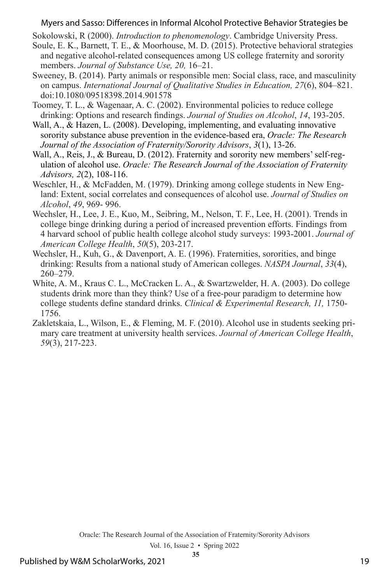Sokolowski, R (2000). *Introduction to phenomenology*. Cambridge University Press.

- Soule, E. K., Barnett, T. E., & Moorhouse, M. D. (2015). Protective behavioral strategies and negative alcohol-related consequences among US college fraternity and sorority members. *Journal of Substance Use, 20,* 16–21.
- Sweeney, B. (2014). Party animals or responsible men: Social class, race, and masculinity on campus. *International Journal of Qualitative Studies in Education, 27*(6), 804–821. doi:10.1080/09518398.2014.901578
- Toomey, T. L., & Wagenaar, A. C. (2002). Environmental policies to reduce college drinking: Options and research findings. *Journal of Studies on Alcohol*, *14*, 193-205.
- Wall, A., & Hazen, L. (2008). Developing, implementing, and evaluating innovative sorority substance abuse prevention in the evidence-based era, *Oracle: The Research Journal of the Association of Fraternity/Sorority Advisors*, *3*(1), 13-26.
- Wall, A., Reis, J., & Bureau, D. (2012). Fraternity and sorority new members' self-regulation of alcohol use. *Oracle: The Research Journal of the Association of Fraternity Advisors, 2*(2), 108-116.
- Weschler, H., & McFadden, M. (1979). Drinking among college students in New England: Extent, social correlates and consequences of alcohol use. *Journal of Studies on Alcohol*, *49*, 969- 996.
- Wechsler, H., Lee, J. E., Kuo, M., Seibring, M., Nelson, T. F., Lee, H. (2001). Trends in college binge drinking during a period of increased prevention efforts. Findings from 4 harvard school of public health college alcohol study surveys: 1993-2001. *Journal of American College Health*, *50*(5), 203-217.
- Wechsler, H., Kuh, G., & Davenport, A. E. (1996). Fraternities, sororities, and binge drinking: Results from a national study of American colleges. *NASPA Journal*, *33*(4), 260–279.
- White, A. M., Kraus C. L., McCracken L. A., & Swartzwelder, H. A. (2003). Do college students drink more than they think? Use of a free-pour paradigm to determine how college students define standard drinks. *Clinical & Experimental Research, 11,* 1750- 1756.
- Zakletskaia, L., Wilson, E., & Fleming, M. F. (2010). Alcohol use in students seeking primary care treatment at university health services. *Journal of American College Health*, *59*(3), 217-223.